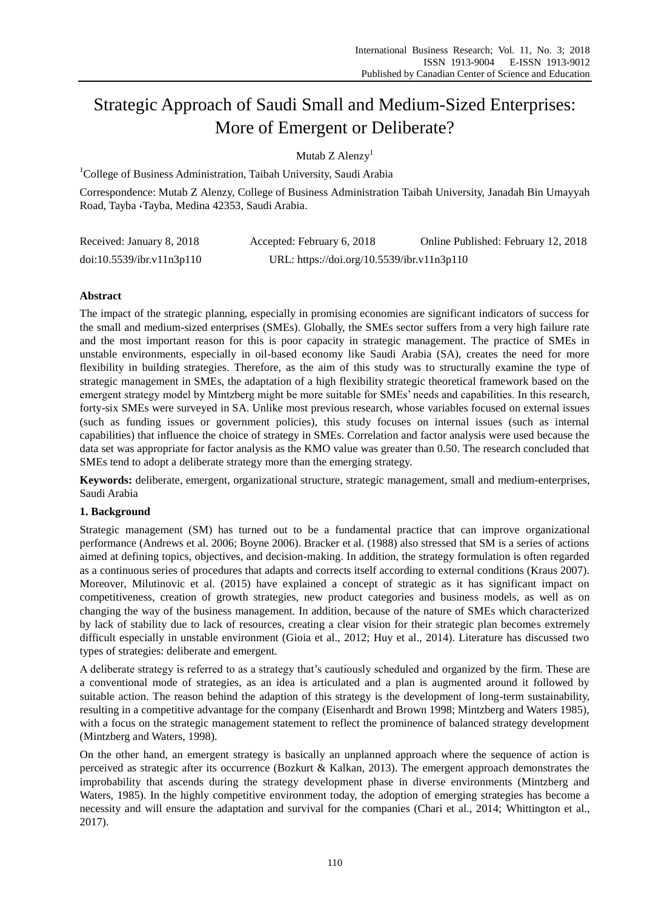# Strategic Approach of Saudi Small and Medium-Sized Enterprises: More of Emergent or Deliberate?

Mutab  $Z$  Alenzy<sup>1</sup>

<sup>1</sup>College of Business Administration, Taibah University, Saudi Arabia

Correspondence: Mutab Z Alenzy, College of Business Administration Taibah University, Janadah Bin Umayyah Road, Tayba ،Tayba, Medina 42353, Saudi Arabia.

| Received: January 8, 2018 | Accepted: February 6, 2018                 | Online Published: February 12, 2018 |
|---------------------------|--------------------------------------------|-------------------------------------|
| doi:10.5539/ibr.v11n3p110 | URL: https://doi.org/10.5539/ibr.v11n3p110 |                                     |

## **Abstract**

The impact of the strategic planning, especially in promising economies are significant indicators of success for the small and medium-sized enterprises (SMEs). Globally, the SMEs sector suffers from a very high failure rate and the most important reason for this is poor capacity in strategic management. The practice of SMEs in unstable environments, especially in oil-based economy like Saudi Arabia (SA), creates the need for more flexibility in building strategies. Therefore, as the aim of this study was to structurally examine the type of strategic management in SMEs, the adaptation of a high flexibility strategic theoretical framework based on the emergent strategy model by Mintzberg might be more suitable for SMEs' needs and capabilities. In this research, forty-six SMEs were surveyed in SA. Unlike most previous research, whose variables focused on external issues (such as funding issues or government policies), this study focuses on internal issues (such as internal capabilities) that influence the choice of strategy in SMEs. Correlation and factor analysis were used because the data set was appropriate for factor analysis as the KMO value was greater than 0.50. The research concluded that SMEs tend to adopt a deliberate strategy more than the emerging strategy.

**Keywords:** deliberate, emergent, organizational structure, strategic management, small and medium-enterprises, Saudi Arabia

## **1. Background**

Strategic management (SM) has turned out to be a fundamental practice that can improve organizational performance (Andrews et al. 2006; Boyne 2006). Bracker et al. (1988) also stressed that SM is a series of actions aimed at defining topics, objectives, and decision-making. In addition, the strategy formulation is often regarded as a continuous series of procedures that adapts and corrects itself according to external conditions (Kraus 2007). Moreover, Milutinovic et al. (2015) have explained a concept of strategic as it has significant impact on competitiveness, creation of growth strategies, new product categories and business models, as well as on changing the way of the business management. In addition, because of the nature of SMEs which characterized by lack of stability due to lack of resources, creating a clear vision for their strategic plan becomes extremely difficult especially in unstable environment (Gioia et al., 2012; Huy et al., 2014). Literature has discussed two types of strategies: deliberate and emergent.

A deliberate strategy is referred to as a strategy that's cautiously scheduled and organized by the firm. These are a conventional mode of strategies, as an idea is articulated and a plan is augmented around it followed by suitable action. The reason behind the adaption of this strategy is the development of long-term sustainability, resulting in a competitive advantage for the company (Eisenhardt and Brown 1998; Mintzberg and Waters 1985), with a focus on the strategic management statement to reflect the prominence of balanced strategy development (Mintzberg and Waters, 1998).

On the other hand, an emergent strategy is basically an unplanned approach where the sequence of action is perceived as strategic after its occurrence (Bozkurt & Kalkan, 2013). The emergent approach demonstrates the improbability that ascends during the strategy development phase in diverse environments (Mintzberg and Waters, 1985). In the highly competitive environment today, the adoption of emerging strategies has become a necessity and will ensure the adaptation and survival for the companies (Chari et al., 2014; Whittington et al., 2017).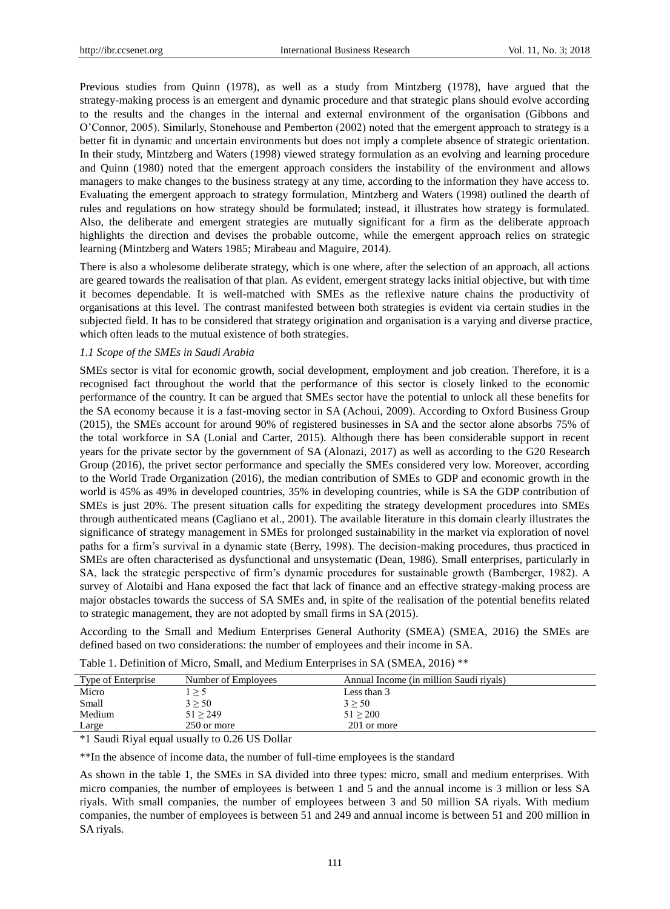Previous studies from Quinn (1978), as well as a study from Mintzberg (1978), have argued that the strategy-making process is an emergent and dynamic procedure and that strategic plans should evolve according to the results and the changes in the internal and external environment of the organisation (Gibbons and O'Connor, 2005). Similarly, Stonehouse and Pemberton (2002) noted that the emergent approach to strategy is a better fit in dynamic and uncertain environments but does not imply a complete absence of strategic orientation. In their study, Mintzberg and Waters (1998) viewed strategy formulation as an evolving and learning procedure and Quinn (1980) noted that the emergent approach considers the instability of the environment and allows managers to make changes to the business strategy at any time, according to the information they have access to. Evaluating the emergent approach to strategy formulation, Mintzberg and Waters (1998) outlined the dearth of rules and regulations on how strategy should be formulated; instead, it illustrates how strategy is formulated. Also, the deliberate and emergent strategies are mutually significant for a firm as the deliberate approach highlights the direction and devises the probable outcome, while the emergent approach relies on strategic learning (Mintzberg and Waters 1985; Mirabeau and Maguire, 2014).

There is also a wholesome deliberate strategy, which is one where, after the selection of an approach, all actions are geared towards the realisation of that plan. As evident, emergent strategy lacks initial objective, but with time it becomes dependable. It is well-matched with SMEs as the reflexive nature chains the productivity of organisations at this level. The contrast manifested between both strategies is evident via certain studies in the subjected field. It has to be considered that strategy origination and organisation is a varying and diverse practice, which often leads to the mutual existence of both strategies.

#### *1.1 Scope of the SMEs in Saudi Arabia*

SMEs sector is vital for economic growth, social development, employment and job creation. Therefore, it is a recognised fact throughout the world that the performance of this sector is closely linked to the economic performance of the country. It can be argued that SMEs sector have the potential to unlock all these benefits for the SA economy because it is a fast-moving sector in SA (Achoui, 2009). According to Oxford Business Group (2015), the SMEs account for around 90% of registered businesses in SA and the sector alone absorbs 75% of the total workforce in SA (Lonial and Carter, 2015). Although there has been considerable support in recent years for the private sector by the government of SA (Alonazi, 2017) as well as according to the G20 Research Group (2016), the privet sector performance and specially the SMEs considered very low. Moreover, according to the World Trade Organization (2016), the median contribution of SMEs to GDP and economic growth in the world is 45% as 49% in developed countries, 35% in developing countries, while is SA the GDP contribution of SMEs is just 20%. The present situation calls for expediting the strategy development procedures into SMEs through authenticated means (Cagliano et al., 2001). The available literature in this domain clearly illustrates the significance of strategy management in SMEs for prolonged sustainability in the market via exploration of novel paths for a firm's survival in a dynamic state (Berry, 1998). The decision-making procedures, thus practiced in SMEs are often characterised as dysfunctional and unsystematic (Dean, 1986). Small enterprises, particularly in SA, lack the strategic perspective of firm's dynamic procedures for sustainable growth (Bamberger, 1982). A survey of Alotaibi and Hana exposed the fact that lack of finance and an effective strategy-making process are major obstacles towards the success of SA SMEs and, in spite of the realisation of the potential benefits related to strategic management, they are not adopted by small firms in SA (2015).

According to the Small and Medium Enterprises General Authority (SMEA) (SMEA, 2016) the SMEs are defined based on two considerations: the number of employees and their income in SA.

| Type of Enterprise | Number of Employees | Annual Income (in million Saudi rivals) |
|--------------------|---------------------|-----------------------------------------|
| Micro              |                     | Less than 3                             |
| Small              | $3 \ge 50$          | $3 \geq 50$                             |
| Medium             | 51 > 249            | 51 > 200                                |
| Large              | 250 or more         | 201 or more                             |

Table 1. Definition of Micro, Small, and Medium Enterprises in SA (SMEA, 2016) \*\*

\*1 Saudi Riyal equal usually to 0.26 US Dollar

\*\*In the absence of income data, the number of full-time employees is the standard

As shown in the table 1, the SMEs in SA divided into three types: micro, small and medium enterprises. With micro companies, the number of employees is between 1 and 5 and the annual income is 3 million or less SA riyals. With small companies, the number of employees between 3 and 50 million SA riyals. With medium companies, the number of employees is between 51 and 249 and annual income is between 51 and 200 million in SA riyals.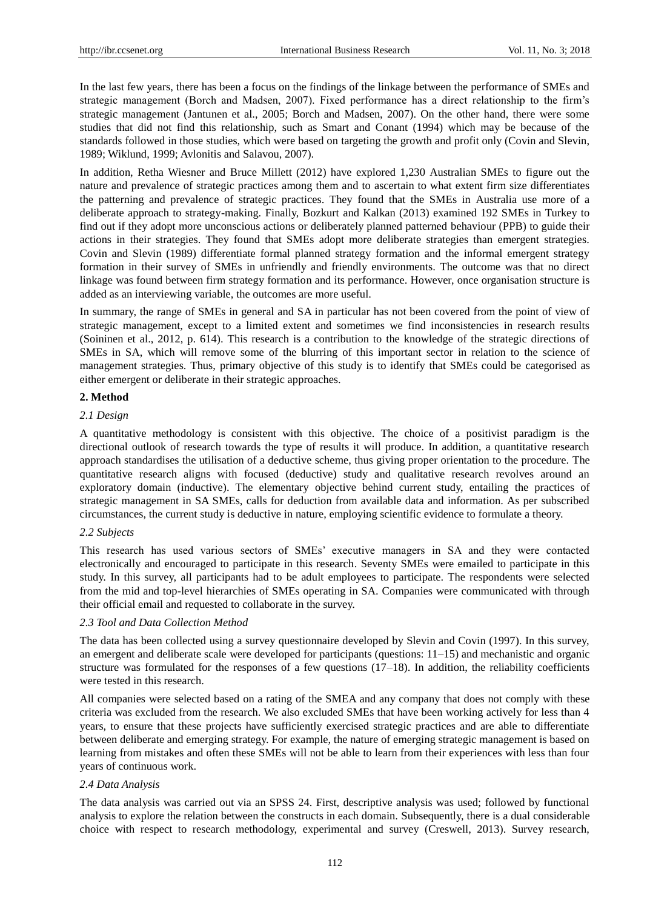In the last few years, there has been a focus on the findings of the linkage between the performance of SMEs and strategic management (Borch and Madsen, 2007). Fixed performance has a direct relationship to the firm's strategic management (Jantunen et al., 2005; Borch and Madsen, 2007). On the other hand, there were some studies that did not find this relationship, such as Smart and Conant (1994) which may be because of the standards followed in those studies, which were based on targeting the growth and profit only (Covin and Slevin, 1989; Wiklund, 1999; Avlonitis and Salavou, 2007).

In addition, Retha Wiesner and Bruce Millett (2012) have explored 1,230 Australian SMEs to figure out the nature and prevalence of strategic practices among them and to ascertain to what extent firm size differentiates the patterning and prevalence of strategic practices. They found that the SMEs in Australia use more of a deliberate approach to strategy-making. Finally, Bozkurt and Kalkan (2013) examined 192 SMEs in Turkey to find out if they adopt more unconscious actions or deliberately planned patterned behaviour (PPB) to guide their actions in their strategies. They found that SMEs adopt more deliberate strategies than emergent strategies. Covin and Slevin (1989) differentiate formal planned strategy formation and the informal emergent strategy formation in their survey of SMEs in unfriendly and friendly environments. The outcome was that no direct linkage was found between firm strategy formation and its performance. However, once organisation structure is added as an interviewing variable, the outcomes are more useful.

In summary, the range of SMEs in general and SA in particular has not been covered from the point of view of strategic management, except to a limited extent and sometimes we find inconsistencies in research results (Soininen et al., 2012, p. 614). This research is a contribution to the knowledge of the strategic directions of SMEs in SA, which will remove some of the blurring of this important sector in relation to the science of management strategies. Thus, primary objective of this study is to identify that SMEs could be categorised as either emergent or deliberate in their strategic approaches.

#### **2. Method**

#### *2.1 Design*

A quantitative methodology is consistent with this objective. The choice of a positivist paradigm is the directional outlook of research towards the type of results it will produce. In addition, a quantitative research approach standardises the utilisation of a deductive scheme, thus giving proper orientation to the procedure. The quantitative research aligns with focused (deductive) study and qualitative research revolves around an exploratory domain (inductive). The elementary objective behind current study, entailing the practices of strategic management in SA SMEs, calls for deduction from available data and information. As per subscribed circumstances, the current study is deductive in nature, employing scientific evidence to formulate a theory.

#### *2.2 Subjects*

This research has used various sectors of SMEs' executive managers in SA and they were contacted electronically and encouraged to participate in this research. Seventy SMEs were emailed to participate in this study. In this survey, all participants had to be adult employees to participate. The respondents were selected from the mid and top-level hierarchies of SMEs operating in SA. Companies were communicated with through their official email and requested to collaborate in the survey.

#### *2.3 Tool and Data Collection Method*

The data has been collected using a survey questionnaire developed by Slevin and Covin (1997). In this survey, an emergent and deliberate scale were developed for participants (questions: 11–15) and mechanistic and organic structure was formulated for the responses of a few questions (17–18). In addition, the reliability coefficients were tested in this research.

All companies were selected based on a rating of the SMEA and any company that does not comply with these criteria was excluded from the research. We also excluded SMEs that have been working actively for less than 4 years, to ensure that these projects have sufficiently exercised strategic practices and are able to differentiate between deliberate and emerging strategy. For example, the nature of emerging strategic management is based on learning from mistakes and often these SMEs will not be able to learn from their experiences with less than four years of continuous work.

#### *2.4 Data Analysis*

The data analysis was carried out via an SPSS 24. First, descriptive analysis was used; followed by functional analysis to explore the relation between the constructs in each domain. Subsequently, there is a dual considerable choice with respect to research methodology, experimental and survey (Creswell, 2013). Survey research,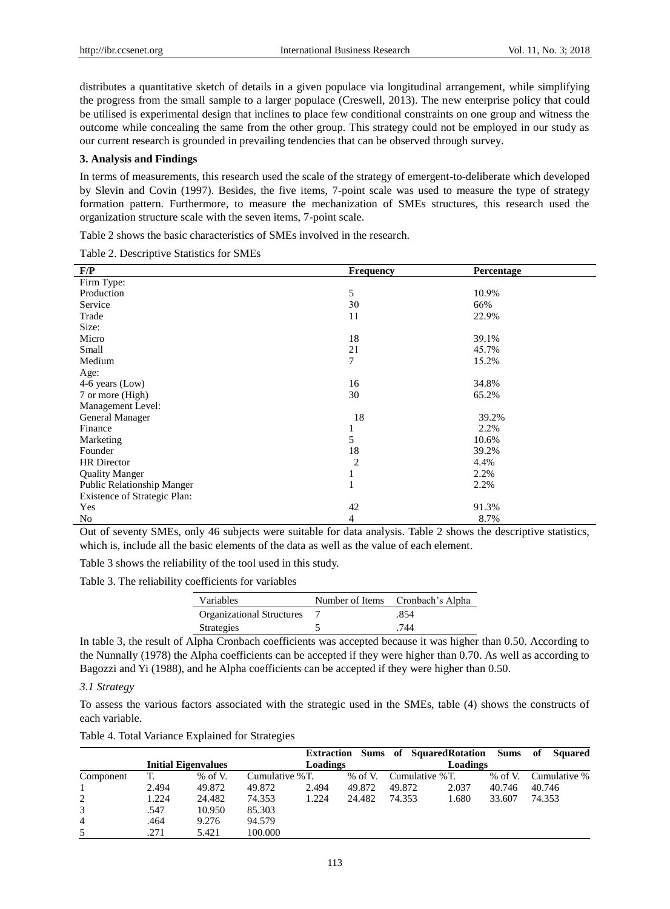distributes a quantitative sketch of details in a given populace via longitudinal arrangement, while simplifying the progress from the small sample to a larger populace (Creswell, 2013). The new enterprise policy that could be utilised is experimental design that inclines to place few conditional constraints on one group and witness the outcome while concealing the same from the other group. This strategy could not be employed in our study as our current research is grounded in prevailing tendencies that can be observed through survey.

#### **3. Analysis and Findings**

In terms of measurements, this research used the scale of the strategy of emergent-to-deliberate which developed by Slevin and Covin (1997). Besides, the five items, 7-point scale was used to measure the type of strategy formation pattern. Furthermore, to measure the mechanization of SMEs structures, this research used the organization structure scale with the seven items, 7-point scale.

Table 2 shows the basic characteristics of SMEs involved in the research.

Table 2. Descriptive Statistics for SMEs

| F/P                               | Frequency      | Percentage |
|-----------------------------------|----------------|------------|
| Firm Type:                        |                |            |
| Production                        | 5              | 10.9%      |
| Service                           | 30             | 66%        |
| Trade                             | 11             | 22.9%      |
| Size:                             |                |            |
| Micro                             | 18             | 39.1%      |
| Small                             | 21             | 45.7%      |
| Medium                            | 7              | 15.2%      |
| Age:                              |                |            |
| 4-6 years (Low)                   | 16             | 34.8%      |
| 7 or more (High)                  | 30             | 65.2%      |
| Management Level:                 |                |            |
| General Manager                   | 18             | 39.2%      |
| Finance                           |                | 2.2%       |
| Marketing                         | 5              | 10.6%      |
| Founder                           | 18             | 39.2%      |
| <b>HR</b> Director                | $\overline{c}$ | 4.4%       |
| <b>Quality Manger</b>             | 1              | 2.2%       |
| <b>Public Relationship Manger</b> | 1              | 2.2%       |
| Existence of Strategic Plan:      |                |            |
| Yes                               | 42             | 91.3%      |
| No                                | $\overline{4}$ | 8.7%       |

Out of seventy SMEs, only 46 subjects were suitable for data analysis. Table 2 shows the descriptive statistics, which is, include all the basic elements of the data as well as the value of each element.

Table 3 shows the reliability of the tool used in this study.

Table 3. The reliability coefficients for variables

| Variables                        | Number of Items Cronbach's Alpha |
|----------------------------------|----------------------------------|
| <b>Organizational Structures</b> | .854                             |
| <b>Strategies</b>                | 744                              |

In table 3, the result of Alpha Cronbach coefficients was accepted because it was higher than 0.50. According to the Nunnally (1978) the Alpha coefficients can be accepted if they were higher than 0.70. As well as according to Bagozzi and Yi (1988), and he Alpha coefficients can be accepted if they were higher than 0.50.

#### *3.1 Strategy*

To assess the various factors associated with the strategic used in the SMEs, table (4) shows the constructs of each variable.

|  | Table 4. Total Variance Explained for Strategies |  |
|--|--------------------------------------------------|--|
|  |                                                  |  |

|           |       | <b>Initial Eigenvalues</b> |                 | <b>Extraction</b><br>Loadings |           |                | Sums of Squared Rotation Sums<br>Loadings |         | of<br><b>Squared</b> |
|-----------|-------|----------------------------|-----------------|-------------------------------|-----------|----------------|-------------------------------------------|---------|----------------------|
| Component | T.    | % of V.                    | Cumulative % T. |                               | $%$ of V. | Cumulative %T. |                                           | % of V. | Cumulative %         |
|           | 2.494 | 49.872                     | 49.872          | 2.494                         | 49.872    | 49.872         | 2.037                                     | 40.746  | 40.746               |
| 2         | 1.224 | 24.482                     | 74.353          | 1.224                         | 24.482    | 74.353         | 1.680                                     | 33.607  | 74.353               |
| 3         | .547  | 10.950                     | 85.303          |                               |           |                |                                           |         |                      |
| 4         | .464  | 9.276                      | 94.579          |                               |           |                |                                           |         |                      |
| 5         | .271  | 5.421                      | 100.000         |                               |           |                |                                           |         |                      |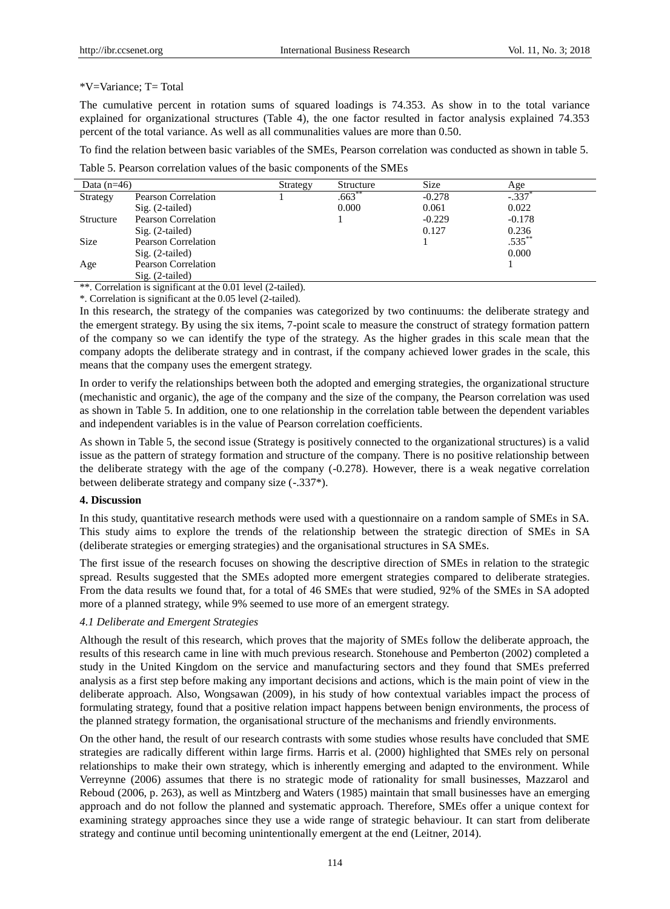#### \*V=Variance; T= Total

The cumulative percent in rotation sums of squared loadings is 74.353. As show in to the total variance explained for organizational structures (Table 4), the one factor resulted in factor analysis explained 74.353 percent of the total variance. As well as all communalities values are more than 0.50.

To find the relation between basic variables of the SMEs, Pearson correlation was conducted as shown in table 5.

Table 5. Pearson correlation values of the basic components of the SMEs

| Data $(n=46)$ |                            | Strategy | Structure | <b>Size</b> | Age       |
|---------------|----------------------------|----------|-----------|-------------|-----------|
| Strategy      | Pearson Correlation        |          | $.663**$  | $-0.278$    | $-.337$   |
|               | $Sig. (2-tailed)$          |          | 0.000     | 0.061       | 0.022     |
| Structure     | <b>Pearson Correlation</b> |          |           | $-0.229$    | $-0.178$  |
|               | $Sig. (2-tailed)$          |          |           | 0.127       | 0.236     |
| Size          | <b>Pearson Correlation</b> |          |           |             | $.535***$ |
|               | $Sig. (2-tailed)$          |          |           |             | 0.000     |
| Age           | <b>Pearson Correlation</b> |          |           |             |           |
|               | $Sig. (2-tailed)$          |          |           |             |           |

\*\*. Correlation is significant at the 0.01 level (2-tailed).

\*. Correlation is significant at the 0.05 level (2-tailed).

In this research, the strategy of the companies was categorized by two continuums: the deliberate strategy and the emergent strategy. By using the six items, 7-point scale to measure the construct of strategy formation pattern of the company so we can identify the type of the strategy. As the higher grades in this scale mean that the company adopts the deliberate strategy and in contrast, if the company achieved lower grades in the scale, this means that the company uses the emergent strategy.

In order to verify the relationships between both the adopted and emerging strategies, the organizational structure (mechanistic and organic), the age of the company and the size of the company, the Pearson correlation was used as shown in Table 5. In addition, one to one relationship in the correlation table between the dependent variables and independent variables is in the value of Pearson correlation coefficients.

As shown in Table 5, the second issue (Strategy is positively connected to the organizational structures) is a valid issue as the pattern of strategy formation and structure of the company. There is no positive relationship between the deliberate strategy with the age of the company (-0.278). However, there is a weak negative correlation between deliberate strategy and company size (-.337\*).

#### **4. Discussion**

In this study, quantitative research methods were used with a questionnaire on a random sample of SMEs in SA. This study aims to explore the trends of the relationship between the strategic direction of SMEs in SA (deliberate strategies or emerging strategies) and the organisational structures in SA SMEs.

The first issue of the research focuses on showing the descriptive direction of SMEs in relation to the strategic spread. Results suggested that the SMEs adopted more emergent strategies compared to deliberate strategies. From the data results we found that, for a total of 46 SMEs that were studied, 92% of the SMEs in SA adopted more of a planned strategy, while 9% seemed to use more of an emergent strategy.

#### *4.1 Deliberate and Emergent Strategies*

Although the result of this research, which proves that the majority of SMEs follow the deliberate approach, the results of this research came in line with much previous research. Stonehouse and Pemberton (2002) completed a study in the United Kingdom on the service and manufacturing sectors and they found that SMEs preferred analysis as a first step before making any important decisions and actions, which is the main point of view in the deliberate approach. Also, Wongsawan (2009), in his study of how contextual variables impact the process of formulating strategy, found that a positive relation impact happens between benign environments, the process of the planned strategy formation, the organisational structure of the mechanisms and friendly environments.

On the other hand, the result of our research contrasts with some studies whose results have concluded that SME strategies are radically different within large firms. Harris et al. (2000) highlighted that SMEs rely on personal relationships to make their own strategy, which is inherently emerging and adapted to the environment. While Verreynne (2006) assumes that there is no strategic mode of rationality for small businesses, Mazzarol and Reboud (2006, p. 263), as well as Mintzberg and Waters (1985) maintain that small businesses have an emerging approach and do not follow the planned and systematic approach. Therefore, SMEs offer a unique context for examining strategy approaches since they use a wide range of strategic behaviour. It can start from deliberate strategy and continue until becoming unintentionally emergent at the end (Leitner, 2014).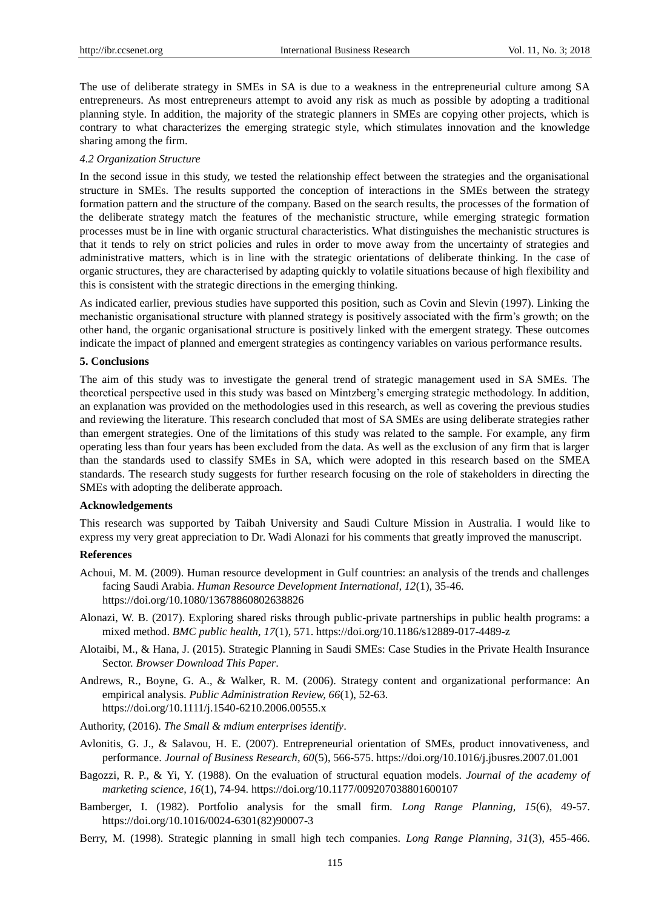The use of deliberate strategy in SMEs in SA is due to a weakness in the entrepreneurial culture among SA entrepreneurs. As most entrepreneurs attempt to avoid any risk as much as possible by adopting a traditional planning style. In addition, the majority of the strategic planners in SMEs are copying other projects, which is contrary to what characterizes the emerging strategic style, which stimulates innovation and the knowledge sharing among the firm.

#### *4.2 Organization Structure*

In the second issue in this study, we tested the relationship effect between the strategies and the organisational structure in SMEs. The results supported the conception of interactions in the SMEs between the strategy formation pattern and the structure of the company. Based on the search results, the processes of the formation of the deliberate strategy match the features of the mechanistic structure, while emerging strategic formation processes must be in line with organic structural characteristics. What distinguishes the mechanistic structures is that it tends to rely on strict policies and rules in order to move away from the uncertainty of strategies and administrative matters, which is in line with the strategic orientations of deliberate thinking. In the case of organic structures, they are characterised by adapting quickly to volatile situations because of high flexibility and this is consistent with the strategic directions in the emerging thinking.

As indicated earlier, previous studies have supported this position, such as Covin and Slevin (1997). Linking the mechanistic organisational structure with planned strategy is positively associated with the firm's growth; on the other hand, the organic organisational structure is positively linked with the emergent strategy. These outcomes indicate the impact of planned and emergent strategies as contingency variables on various performance results.

#### **5. Conclusions**

The aim of this study was to investigate the general trend of strategic management used in SA SMEs. The theoretical perspective used in this study was based on Mintzberg's emerging strategic methodology. In addition, an explanation was provided on the methodologies used in this research, as well as covering the previous studies and reviewing the literature. This research concluded that most of SA SMEs are using deliberate strategies rather than emergent strategies. One of the limitations of this study was related to the sample. For example, any firm operating less than four years has been excluded from the data. As well as the exclusion of any firm that is larger than the standards used to classify SMEs in SA, which were adopted in this research based on the SMEA standards. The research study suggests for further research focusing on the role of stakeholders in directing the SMEs with adopting the deliberate approach.

#### **Acknowledgements**

This research was supported by Taibah University and Saudi Culture Mission in Australia. I would like to express my very great appreciation to Dr. Wadi Alonazi for his comments that greatly improved the manuscript.

#### **References**

- Achoui, M. M. (2009). Human resource development in Gulf countries: an analysis of the trends and challenges facing Saudi Arabia. *Human Resource Development International, 12*(1), 35-46. https://doi.org/10.1080/13678860802638826
- Alonazi, W. B. (2017). Exploring shared risks through public-private partnerships in public health programs: a mixed method. *BMC public health, 17*(1), 571. https://doi.org/10.1186/s12889-017-4489-z
- Alotaibi, M., & Hana, J. (2015). Strategic Planning in Saudi SMEs: Case Studies in the Private Health Insurance Sector. *Browser Download This Paper*.
- Andrews, R., Boyne, G. A., & Walker, R. M. (2006). Strategy content and organizational performance: An empirical analysis. *Public Administration Review, 66*(1), 52-63. https://doi.org/10.1111/j.1540-6210.2006.00555.x
- Authority, (2016). *The Small & mdium enterprises identify*.
- Avlonitis, G. J., & Salavou, H. E. (2007). Entrepreneurial orientation of SMEs, product innovativeness, and performance. *Journal of Business Research, 60*(5), 566-575. https://doi.org/10.1016/j.jbusres.2007.01.001
- Bagozzi, R. P., & Yi, Y. (1988). On the evaluation of structural equation models. *Journal of the academy of marketing science, 16*(1), 74-94. https://doi.org/10.1177/009207038801600107
- Bamberger, I. (1982). Portfolio analysis for the small firm. *Long Range Planning, 15*(6), 49-57. https://doi.org/10.1016/0024-6301(82)90007-3
- Berry, M. (1998). Strategic planning in small high tech companies. *Long Range Planning, 31*(3), 455-466.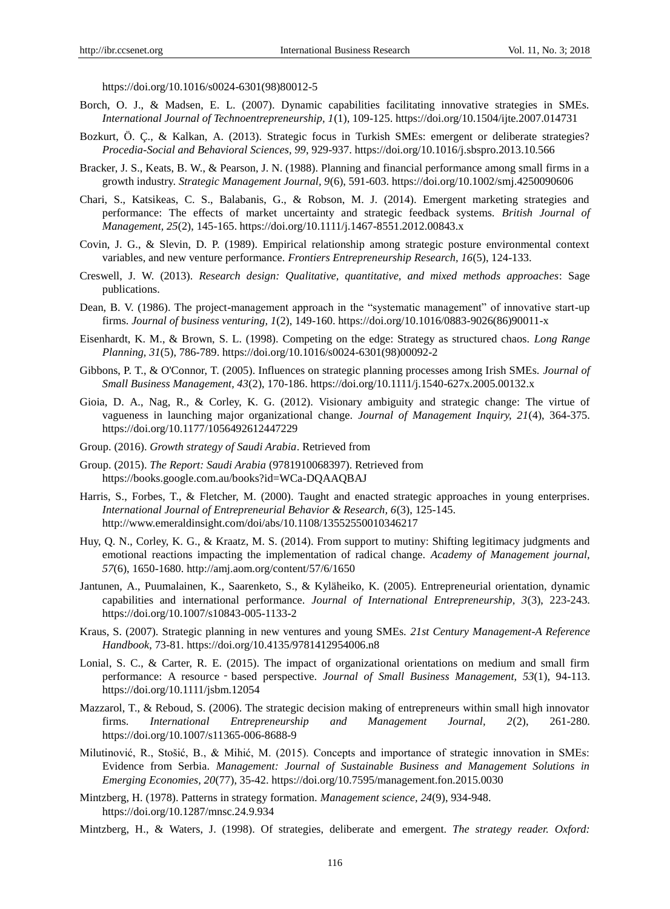https://doi.org/10.1016/s0024-6301(98)80012-5

- Borch, O. J., & Madsen, E. L. (2007). Dynamic capabilities facilitating innovative strategies in SMEs. *International Journal of Technoentrepreneurship, 1*(1), 109-125. https://doi.org/10.1504/ijte.2007.014731
- Bozkurt, Ö. Ç., & Kalkan, A. (2013). Strategic focus in Turkish SMEs: emergent or deliberate strategies? *Procedia-Social and Behavioral Sciences, 99*, 929-937. https://doi.org/10.1016/j.sbspro.2013.10.566
- Bracker, J. S., Keats, B. W., & Pearson, J. N. (1988). Planning and financial performance among small firms in a growth industry. *Strategic Management Journal, 9*(6), 591-603. https://doi.org/10.1002/smj.4250090606
- Chari, S., Katsikeas, C. S., Balabanis, G., & Robson, M. J. (2014). Emergent marketing strategies and performance: The effects of market uncertainty and strategic feedback systems. *British Journal of Management, 25*(2), 145-165. https://doi.org/10.1111/j.1467-8551.2012.00843.x
- Covin, J. G., & Slevin, D. P. (1989). Empirical relationship among strategic posture environmental context variables, and new venture performance. *Frontiers Entrepreneurship Research, 16*(5), 124-133.
- Creswell, J. W. (2013). *Research design: Qualitative, quantitative, and mixed methods approaches*: Sage publications.
- Dean, B. V. (1986). The project-management approach in the "systematic management" of innovative start-up firms. *Journal of business venturing, 1*(2), 149-160. https://doi.org/10.1016/0883-9026(86)90011-x
- Eisenhardt, K. M., & Brown, S. L. (1998). Competing on the edge: Strategy as structured chaos. *Long Range Planning, 31*(5), 786-789. https://doi.org/10.1016/s0024-6301(98)00092-2
- Gibbons, P. T., & O'Connor, T. (2005). Influences on strategic planning processes among Irish SMEs. *Journal of Small Business Management, 43*(2), 170-186. https://doi.org/10.1111/j.1540-627x.2005.00132.x
- Gioia, D. A., Nag, R., & Corley, K. G. (2012). Visionary ambiguity and strategic change: The virtue of vagueness in launching major organizational change. *Journal of Management Inquiry, 21*(4), 364-375. https://doi.org/10.1177/1056492612447229
- Group. (2016). *Growth strategy of Saudi Arabia*. Retrieved from
- Group. (2015). *The Report: Saudi Arabia* (9781910068397). Retrieved from <https://books.google.com.au/books?id=WCa-DQAAQBAJ>
- Harris, S., Forbes, T., & Fletcher, M. (2000). Taught and enacted strategic approaches in young enterprises. *International Journal of Entrepreneurial Behavior & Research, 6*(3), 125-145. http://www.emeraldinsight.com/doi/abs/10.1108/13552550010346217
- Huy, Q. N., Corley, K. G., & Kraatz, M. S. (2014). From support to mutiny: Shifting legitimacy judgments and emotional reactions impacting the implementation of radical change. *Academy of Management journal, 57*(6), 1650-1680. http://amj.aom.org/content/57/6/1650
- Jantunen, A., Puumalainen, K., Saarenketo, S., & Kyläheiko, K. (2005). Entrepreneurial orientation, dynamic capabilities and international performance. *Journal of International Entrepreneurship, 3*(3), 223-243. https://doi.org/10.1007/s10843-005-1133-2
- Kraus, S. (2007). Strategic planning in new ventures and young SMEs. *21st Century Management-A Reference Handbook*, 73-81. https://doi.org/10.4135/9781412954006.n8
- Lonial, S. C., & Carter, R. E. (2015). The impact of organizational orientations on medium and small firm performance: A resource - based perspective. *Journal of Small Business Management*, 53(1), 94-113. https://doi.org/10.1111/jsbm.12054
- Mazzarol, T., & Reboud, S. (2006). The strategic decision making of entrepreneurs within small high innovator firms. *International Entrepreneurship and Management Journal, 2*(2), 261-280. https://doi.org/10.1007/s11365-006-8688-9
- Milutinović, R., Stošić, B., & Mihić, M. (2015). Concepts and importance of strategic innovation in SMEs: Evidence from Serbia. *Management: Journal of Sustainable Business and Management Solutions in Emerging Economies, 20*(77), 35-42. https://doi.org/10.7595/management.fon.2015.0030
- Mintzberg, H. (1978). Patterns in strategy formation. *Management science, 24*(9), 934-948. https://doi.org/10.1287/mnsc.24.9.934
- Mintzberg, H., & Waters, J. (1998). Of strategies, deliberate and emergent. *The strategy reader. Oxford:*